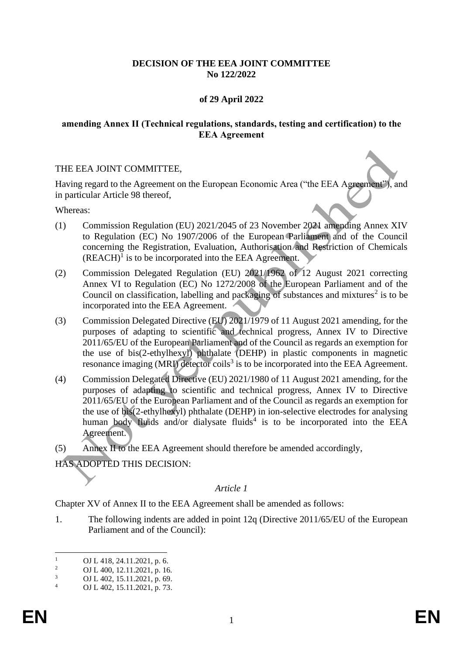## **DECISION OF THE EEA JOINT COMMITTEE No 122/2022**

## **of 29 April 2022**

### **amending Annex II (Technical regulations, standards, testing and certification) to the EEA Agreement**

### THE EEA JOINT COMMITTEE,

Having regard to the Agreement on the European Economic Area ("the EEA Agreement"), and in particular Article 98 thereof,

Whereas:

- (1) Commission Regulation (EU) 2021/2045 of 23 November 2021 amending Annex XIV to Regulation (EC) No 1907/2006 of the European Parliament and of the Council concerning the Registration, Evaluation, Authorisation and Restriction of Chemicals  $(REACH)<sup>1</sup>$  is to be incorporated into the EEA Agreement.
- (2) Commission Delegated Regulation (EU) 2021/1962 of 12 August 2021 correcting Annex VI to Regulation (EC) No 1272/2008 of the European Parliament and of the Council on classification, labelling and packaging of substances and mixtures<sup>2</sup> is to be incorporated into the EEA Agreement.
- (3) Commission Delegated Directive (EU) 2021/1979 of 11 August 2021 amending, for the purposes of adapting to scientific and technical progress, Annex IV to Directive 2011/65/EU of the European Parliament and of the Council as regards an exemption for the use of bis(2-ethylhexyl) phthalate (DEHP) in plastic components in magnetic resonance imaging (MRI) detector coils<sup>3</sup> is to be incorporated into the EEA Agreement.
- (4) Commission Delegated Directive (EU) 2021/1980 of 11 August 2021 amending, for the purposes of adapting to scientific and technical progress, Annex IV to Directive 2011/65/EU of the European Parliament and of the Council as regards an exemption for the use of bis(2-ethylhexyl) phthalate (DEHP) in ion-selective electrodes for analysing human body fluids and/or dialysate fluids<sup>4</sup> is to be incorporated into the EEA Agreement.
- (5) Annex II to the EEA Agreement should therefore be amended accordingly,
- HAS ADOPTED THIS DECISION:

#### *Article 1*

Chapter XV of Annex II to the EEA Agreement shall be amended as follows:

1. The following indents are added in point 12q (Directive 2011/65/EU of the European Parliament and of the Council):

<sup>&</sup>lt;sup>1</sup> OJ L 418, 24.11.2021, p. 6.<br><sup>2</sup> OJ L 400, 12.11.2021, p. 16

<sup>&</sup>lt;sup>2</sup> OJ L 400, 12.11.2021, p. 16.<br>
OJ L 402, 15, 11, 2021, p. 69.

 $\frac{3}{4}$  OJ L 402, 15.11.2021, p. 69.

OJ L 402, 15.11.2021, p. 73.